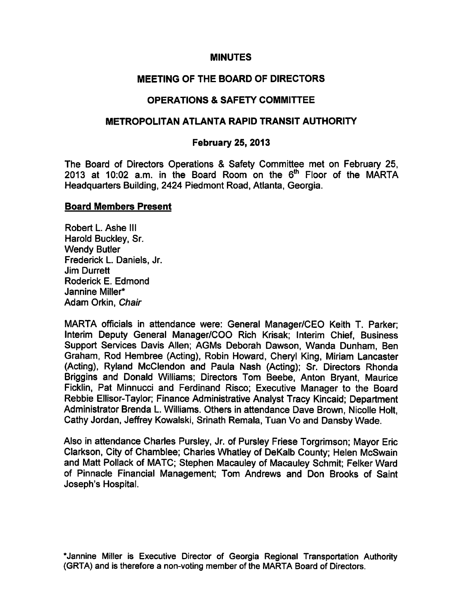### **MINUTES**

# MEETING OF THE BOARD OF DIRECTORS

# OPERATIONS SAFETY COMMITTEE

## METROPOLITAN ATLANTA RAPID TRANSIT AUTHORITY

## February 25, 2013

The Board of Directors Operations & Safety Committee met on February 25, 2013 at 10:02 a.m. in the Board Room on the  $6<sup>th</sup>$  Floor of the MARTA Headquarters Building, 2424 Piedmont Road, Atlanta, Georgia.

### Board Members Present

Robert L. Ashe III Harold Buckley, Sr. Wendy Butler Frederick L. Daniels, Jr. Jim Durrett Roderick E. Edmond Jannine Miller\* Adam Orkin, Chair

MARTA officials in attendance were: General Manager/CEO Keith T. Parker; Interim Deputy General Manager/COO Rich Krisak; Interim Chief, Business Support Services Davis Allen; AGMs Deborah Dawson, Wanda Dunham, Ben Graham, Rod Hembree (Acting), Robin Howard, Cheryl King, Miriam Lancaster (Acting), Ryland McClendon and Paula Nash (Acting); Sr. Directors Rhonda Briggins and Donald Williams; Directors Tom Beebe, Anton Bryant, Maurice Ficklin, Pat Minnucci and Ferdinand Risco; Executive Manager to the Board Rebbie Ellisor-Taylor; Finance Administrative Analyst Tracy Kincaid; Department Administrator Brenda L. Williams. Others in attendance Dave Brown, Nicolle Holt, Cathy Jordan, Jeffrey Kowalski, Srinath Remala, Tuan Vo and Dansby Wade.

Also in attendance Charles Pursley, Jr. of Pursley Friese Torgrimson; Mayor Eric Clarkson, City of Chamblee; Charles Whatley of DeKalb County; Helen McSwain and Matt Pollack of MATC; Stephen Macauley of Macauley Schmit; Felker Ward of Pinnacle Financial Management; Tom Andrews and Don Brooks of Saint Joseph's Hospital.

\*Jannine Miller is Executive Director of Georgia Regional Transportation Authority (GRTA) and is therefore a non-voting member of the MARTA Board of Directors.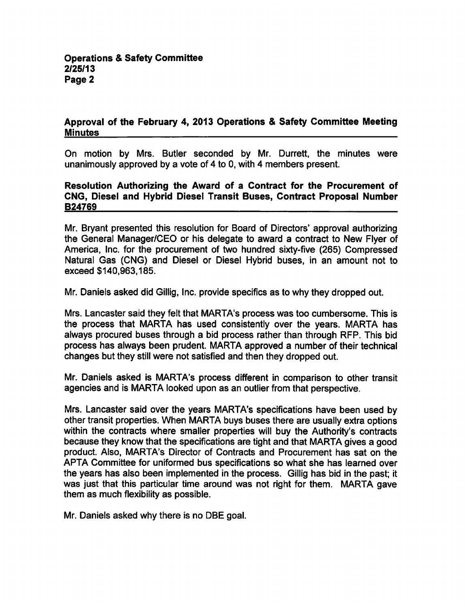### Approval of the February 4, 2013 Operations & Safety Committee Meeting **Minutes**

On motion by Mrs. Butler seconded by Mr. Durrett, the minutes were unanimously approved by a vote of 4 to 0, with 4 members present.

#### Resolution Authorizing the Award of a Contract for the Procurement of CNG, Diesel and Hybrid Diesel Transit Buses, Contract Proposal Number B24769

Mr. Bryant presented this resolution for Board of Directors' approval authorizing the General Manager/CEO or his delegate to award a contract to New Flyer of America, Inc. for the procurement of two hundred sixty-five (265) Compressed Natural Gas (CNG) and Diesel or Diesel Hybrid buses, in an amount not to exceed \$140,963,185.

Mr. Daniels asked did Gillig, Inc. provide specifics as to why they dropped out.

Mrs. Lancaster said they felt that MARTA's process was too cumbersome. This is the process that MARTA has used consistently over the years. MARTA has always procured buses through a bid process rather than through RFP. This bid process has always been prudent. MARTA approved a number of their technical changes but they still were not satisfied and then they dropped out.

Mr. Daniels asked is MARTA's process different in comparison to other transit agencies and is MARTA looked upon as an outlier from that perspective.

Mrs. Lancaster said over the years MARTA's specifications have been used by other transit properties. When MARTA buys buses there are usually extra options within the contracts where smaller properties will buy the Authority's contracts because they know that the specifications are tight and that MARTA gives a good product. Also, MARTA's Director of Contracts and Procurement has sat on the APTA Committee for uniformed bus specifications so what she has learned over the years has also been implemented in the process. Gillig has bid in the past; it was just that this particular time around was not right for them. MARTA gave them as much flexibility as possible.

Mr. Daniels asked why there is no DBE goal.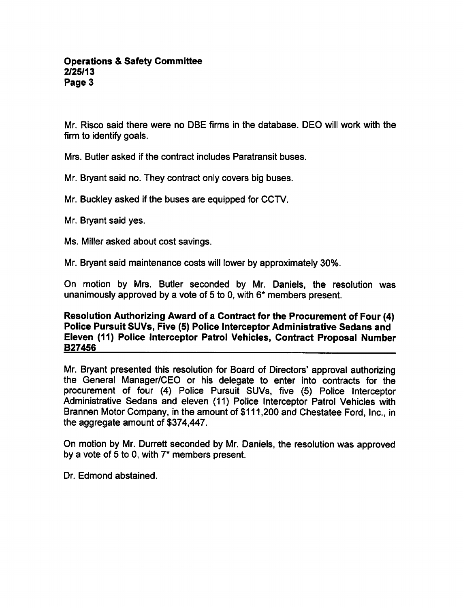Mr. Risco said there were no DBE firms in the database. DEO will work with the firm to identify goals.

Mrs. Butler asked if the contract includes Paratransit buses.

Mr. Bryant said no. They contract only covers big buses.

Mr. Buckley asked if the buses are equipped for CCTV.

Mr. Bryant said yes.

Ms. Miller asked about cost savings.

Mr. Bryant said maintenance costs will lower by approximately 30%.

On motion by Mrs. Butler seconded by Mr. Daniels, the resolution was unanimously approved by a vote of 5 to 0, with  $6*$  members present.

Resolution Authorizing Award of a Contract for the Procurement of Four (4) Police Pursuit SUVs, Five (5) Police Interceptor Administrative Sedans and Eleven (11) Police Interceptor Patrol Vehicles, Contract Proposal Number B27456

Mr. Bryant presented this resolution for Board of Directors' approval authorizing the General Manager/CEO or his delegate to enter into contracts for the procurement of four (4) Police Pursuit SUVs, five (5) Police Interceptor Administrative Sedans and eleven (11) Police Interceptor Patrol Vehicles with Brannen Motor Company, in the amount of \$111,200 and Chestatee Ford, Inc., in the aggregate amount of \$374,447.

On motion by Mr. Durrett seconded by Mr. Daniels, the resolution was approved by a vote of 5 to 0, with  $7^*$  members present.

Dr. Edmond abstained.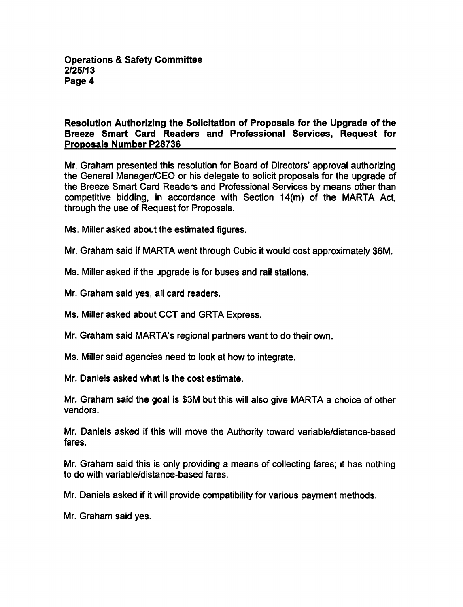### Resolution Authorizing the Solicitation of Proposals for the Upgrade of the Breeze Smart Card Readers and Professional Services, Request for Proposals Number P28736

Mr. Graham presented this resolution for Board of Directors' approval authorizing the General Manager/CEO or his delegate to solicit proposals for the upgrade of the Breeze Smart Card Readers and Professional Services by means other than competitive bidding, in accordance with Section 14(m) of the MARTA Act, through the use of Request for Proposals.

Ms. Miller asked about the estimated figures.

Mr. Graham said if MARTA went through Cubic it would cost approximately \$6M.

Ms. Miller asked if the upgrade is for buses and rail stations.

Mr. Graham said yes, all card readers.

Ms. Miller asked about CCT and GRTA Express.

Mr. Graham said MARTA's regional partners want to do their own.

Ms. Miller said agencies need to look at how to integrate.

Mr. Daniels asked what is the cost estimate.

Mr. Graham said the goal is \$3M but this will also give MARTA a choice of other vendors.

Mr. Daniels asked if this will move the Authority toward variable/distance-based fares.

Mr. Graham said this is only providing a means of collecting fares; it has nothing to do with variable/distance-based fares.

Mr. Daniels asked if it will provide compatibility for various payment methods.

Mr. Graham said yes.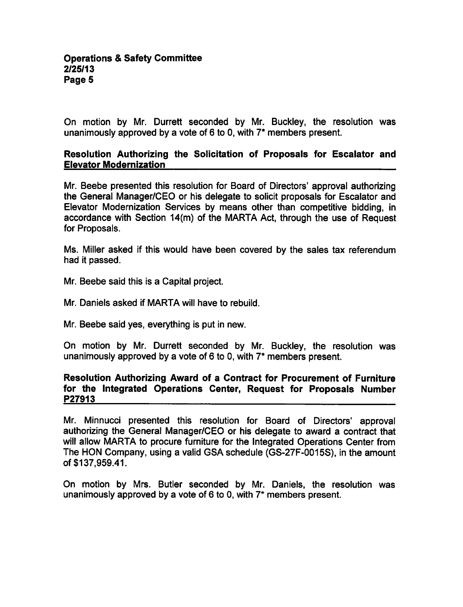On motion by Mr. Durrett seconded by Mr. Buckley, the resolution was unanimously approved by a vote of 6 to 0, with  $7^*$  members present.

#### Resolution Authorizing the Solicitation of Proposals for Escalator and Elevator Modernization

Mr. Beebe presented this resolution for Board of Directors' approval authorizing the General Manager/CEO or his delegate to solicit proposals for Escalator and Elevator Modernization Services by means other than competitive bidding, in accordance with Section 14(m) of the MARTA Act, through the use of Request for Proposals.

Ms. Miller asked if this would have been covered by the sales tax referendum had it passed.

- Mr. Beebe said this is a Capital project.
- Mr. Daniels asked if MARTA will have to rebuild.
- Mr. Beebe said yes, everything is put in new.

On motion by Mr. Durrett seconded by Mr. Buckley, the resolution was unanimously approved by a vote of 6 to 0, with  $7*$  members present.

#### Resolution Authorizing Award of a Contract for Procurement of Furniture for the Integrated Operations Center, Request for Proposals Number P27913

Mr. Minnucci presented this resolution for Board of Directors' approval authorizing the General Manager/CEO or his delegate to award a contract that will allow MARTA to procure furniture for the Integrated Operations Center from The HON Company, using a valid GSA schedule (GS-27F-0015S), in the amount of \$137,959.41.

On motion by Mrs. Butler seconded by Mr. Daniels, the resolution was unanimously approved by a vote of 6 to 0, with  $7^*$  members present.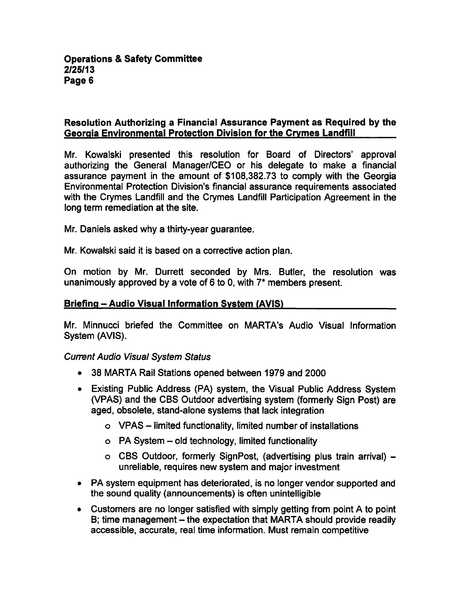### Resolution Authorizing a Financial Assurance Payment as Required by the Georgia Environmental Protection Division for the Crvmes Landfill

Mr. Kowalski presented this resolution for Board of Directors' approval authorizing the General Manager/CEO or his delegate to make a financial assurance payment in the amount of \$108,382.73 to comply with the Georgia Environmental Protection Division's financial assurance requirements associated with the Crymes Landfill and the Crymes Landfill Participation Agreement in the long term remediation at the site.

Mr. Daniels asked why a thirty-year guarantee.

Mr. Kowalski said it is based on a corrective action plan.

On motion by Mr. Durrett seconded by Mrs. Butler, the resolution was unanimously approved by a vote of 6 to 0, with  $7^*$  members present.

### Briefing – Audio Visual Information System (AVIS)

Mr. Minnucci briefed the Committee on MARTA's Audio Visual Information System (AVIS).

Current Audio Visual System Status

- 38 MARTA Rail Stations opened between 1979 and 2000
- Existing Public Address (PA) system, the Visual Public Address System (VPAS) and the CBS Outdoor advertising system (formerly Sign Post) are aged, obsolete, stand-alone systems that lack integration
	- $\circ$  VPAS limited functionality, limited number of installations
	- $\circ$  PA System old technology, limited functionality
	- CBS Outdoor, formerly SignPost, (advertising plus train arrival) unreliable, requires new system and major investment
- PA system equipment has deteriorated, is no longer vendor supported and the sound quality (announcements) is often unintelligible
- $\bullet$  Customers are no longer satisfied with simply getting from point A to point B; time management  $-$  the expectation that MARTA should provide readily accessible, accurate, real time information. Must remain competitive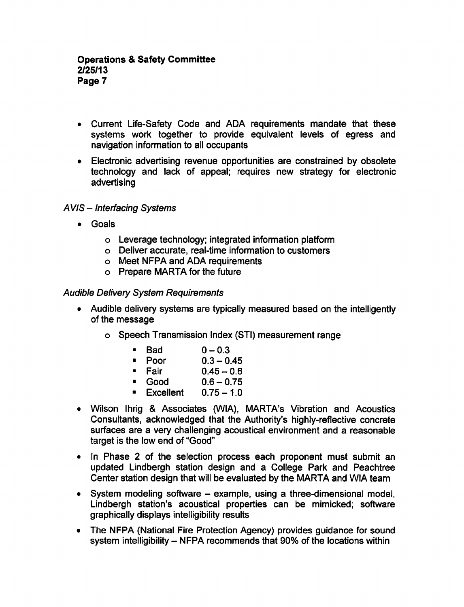- Current Life-Safety Code and ADA requirements mandate that these systems work together to provide equivalent levels of egress and navigation information to all occupants
- Electronic advertising revenue opportunities are constrained by obsolete technology and lack of appeal; requires new strategy for electronic advertising

## AVIS - Interfacing Systems

- Goals
	- Leverage technology; integrated information platform
	- Deliver accurate, real-time information to customers
	- Meet NFPA and ADA requirements
	- Prepare MARTA for the future

#### Audible Delivery System Requirements

- Audible delivery systems are typically measured based on the intelligently of the message
	- Speech Transmission Index (STI) measurement range
		- $Bad \t 0 0.3$
		- Poor  $0.3 0.45$
		- Fair  $0.45 0.6$
		- Good  $0.6 0.75$
		- Excellent  $0.75-1.0$
- Wilson Ihrig & Associates (WIA), MARTA's Vibration and Acoustics Consultants, acknowledged that the Authority's highly-reflective concrete surfaces are a very challenging acoustical environment and a reasonable target is the low end of "Good"
- In Phase 2 of the selection process each proponent must submit an updated Lindbergh station design and College Park and Peachtree Center station design that will be evaluated by the MARTA and WIA team
- $\bullet$  System modeling software example, using a three-dimensional model, Lindbergh station's acoustical properties can be mimicked; software graphically displays intelligibility results
- The NFPA (National Fire Protection Agency) provides guidance for sound system intelligibility  $-$  NFPA recommends that 90% of the locations within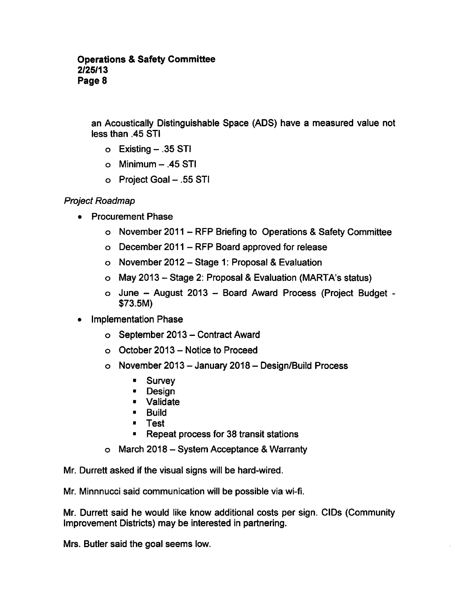an Acoustically Distinguishable Space (ADS) have a measured value not less than .45 STI

- $\circ$  Existing  $-$  .35 STI
- $\circ$  Minimum  $-$  .45 STI
- o Project Goal .55 STI

Project Roadmap

- Procurement Phase
	- o November 2011 RFP Briefing to Operations & Safety Committee
	- $\circ$  December 2011 RFP Board approved for release
	- o November 2012 Stage 1: Proposal & Evaluation
	- o May 2013 Stage 2: Proposal & Evaluation (MARTA's status)
	- o June August 2013 Board Award Process (Project Budget -\$73.5M)
- Implementation Phase  $\bullet$ 
	- o September 2013 Contract Award
	- $\circ$  October 2013 Notice to Proceed
	- $\circ$  November 2013 January 2018 Design/Build Process
		- $\blacksquare$ Survey
		- $\blacksquare$ Design
		- Validate
		- **Build**
		- Test
		- Repeat process for 38 transit stations
	- $\circ$  March 2018 System Acceptance & Warranty

Mr. Durrett asked if the visual signs will be hard-wired.

Mr. Minnnucci said communication will be possible via wi-fi.

Mr. Durrett said he would like know additional costs per sign. CIDs (Community Improvement Districts) may be interested in partnering.

Mrs. Butler said the goal seems low.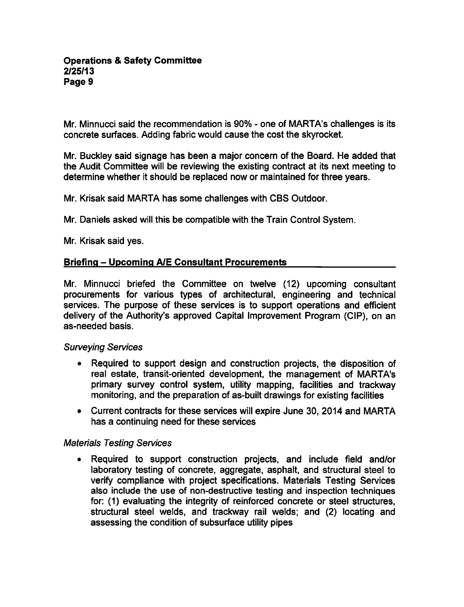Mr. Minnucci said the recommendation is 90% - one of MARTA's challenges is its concrete surfaces. Adding fabric would cause the cost the skyrocket.

Mr. Buckley said signage has been a major concern of the Board. He added that the Audit Committee will be reviewing the existing contract at its next meeting to determine whether it should be replaced now or maintained for three years.

Mr. Krisak said MARTA has some challenges with CBS Outdoor.

Mr. Daniels asked will this be compatible with the Train Control System.

Mr. Krisak said yes.

### Briefing - Upcoming A/E Consultant Procurements

Mr. Minnucci briefed the Committee on twelve (12) upcoming consultant procurements for various types of architectural, engineering and technical services. The purpose of these services is to support operations and efficient delivery of the Authority's approved Capital Improvement Program (CIP), on an as-needed basis.

#### Surveying Services

- Required to support design and construction projects, the disposition of  $\bullet$ real estate, transit-oriented development, the management of MARTA's primary survey control system, utility mapping, facilities and trackway monitoring, and the preparation of as-built drawings for existing facilities
- Current contracts for these services will expire June 30, 2014 and MARTA has a continuing need for these services

### Materials Testing Services

Required to support construction projects, and include field and/or laboratory testing of concrete, aggregate, asphalt, and structural steel to verify compliance with project specifications. Materials Testing Services also include the use of non-destructive testing and inspection techniques for: (1) evaluating the integrity of reinforced concrete or steel structures, structural steel welds, and trackway rail welds; and (2) locating and assessing the condition of subsurface utility pipes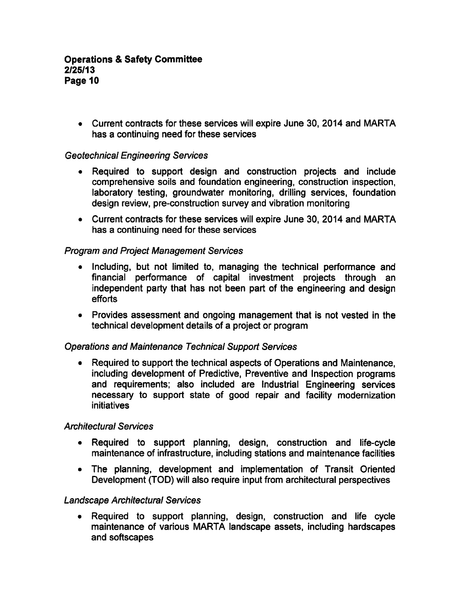Current contracts for these services will expire June 30, 2014 and MARTA has a continuing need for these services

## Geotechnical Engineering Services

- Required to support design and construction projects and include comprehensive soils and foundation engineering, construction inspection, laboratory testing, groundwater monitoring, drilling services, foundation design review, pre-construction survey and vibration monitoring
- Current contracts for these services will expire June 30, 2014 and MARTA has a continuing need for these services

### Program and Project Management Services

- Including, but not limited to, managing the technical performance and financial performance of capital investment projects through an independent party that has not been part of the engineering and design efforts
- Provides assessment and ongoing management that is not vested in the technical development details of a project or program

### Operations and Maintenance Technical Support Services

Required to support the technical aspects of Operations and Maintenance,  $\bullet$ including development of Predictive, Preventive and Inspection programs and requirements; also included are Industrial Engineering services necessary to support state of good repair and facility modernization initiatives

### Architectural Services

- Required to support planning, design, construction and life-cycle  $\bullet$ maintenance of infrastructure, including stations and maintenance facilities
- The planning, development and implementation of Transit Oriented Development (TOD) will also require input from architectural perspectives

### Landscape Architectural Services

Required to support planning, design, construction and life cycle  $\bullet$ maintenance of various MARTA landscape assets, including hardscapes and softscapes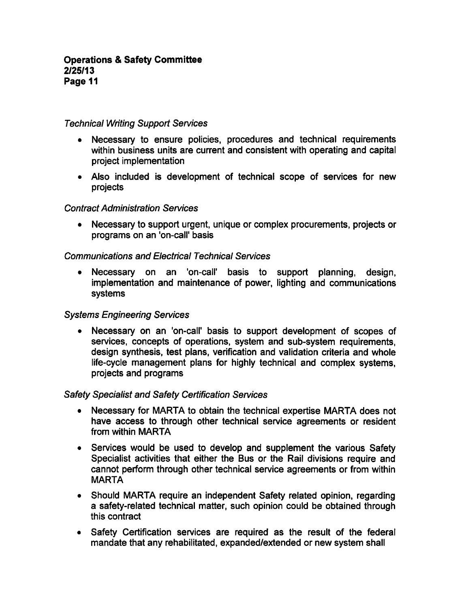#### Technical Writing Support Services

- Necessary to ensure policies, procedures and technical requirements within business units are current and consistent with operating and capital project implementation
- Also included is development of technical scope of services for new projects

#### Contract Administration Services

Necessary to support urgent, unique or complex procurements, projects or programs on an 'on-call' basis

### Communications and Electrical Technical Services

Necessary on an 'on-call' basis to support planning, design, implementation and maintenance of power, lighting and communications systems

### Systems Engineering Services

Necessary on an 'on-call' basis to support development of scopes of  $\bullet$ services, concepts of operations, system and sub-system requirements, design synthesis, test plans, verification and validation criteria and whole life-cycle management plans for highly technical and complex systems, projects and programs

### Safety Specialist and Safety Certification Services

- Necessary for MARTA to obtain the technical expertise MARTA does not  $\bullet$ have access to through other technical service agreements or resident from within MARTA
- Services would be used to develop and supplement the various Safety Specialist activities that either the Bus or the Rail divisions require and cannot perform through other technical service agreements or from within MARTA
- Should MARTA require an independent Safety related opinion, regarding a safety-related technical matter, such opinion could be obtained through this contract
- Safety Certification services are required as the result of the federal mandate that any rehabilitated, expanded/extended or new system shall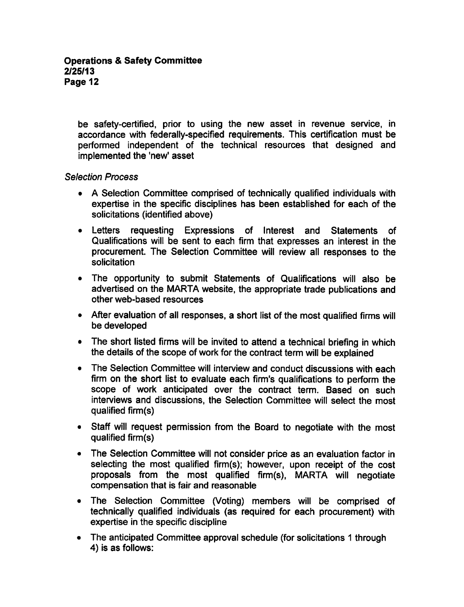be safety-certified, prior to using the new asset in revenue service, in accordance with federally-specified requirements. This certification must be performed independent of the technical resources that designed and implemented the 'new' asset

## Selection Process

- A Selection Committee comprised of technically qualified individuals with expertise in the specific disciplines has been established for each of the solicitations (identified above)
- Letters requesting Expressions of Interest and Statements of Qualifications will be sent to each firm that expresses an interest in the procurement. The Selection Committee will review all responses to the solicitation
- The opportunity to submit Statements of Qualifications will also be advertised on the MARTA website, the appropriate trade publications and other web-based resources
- After evaluation of all responses, a short list of the most qualified firms will be developed
- The short listed firms will be invited to attend a technical briefing in which  $\bullet$ the details of the scope of work for the contract term will be explained
- The Selection Committee will interview and conduct discussions with each  $\bullet$ firm on the short list to evaluate each firm's qualifications to perform the scope of work anticipated over the contract term. Based on such interviews and discussions, the Selection Committee will select the most qualified firm(s)
- Staff will request permission from the Board to negotiate with the most qualified firm(s)
- The Selection Committee will not consider price as an evaluation factor in selecting the most qualified firm(s); however, upon receipt of the cost proposals from the most qualified firm(s), MARTA will negotiate compensation that is fair and reasonable
- The Selection Committee (Voting) members will be comprised of technically qualified individuals (as required for each procurement) with expertise in the specific discipline
- The anticipated Committee approval schedule (for solicitations 1 through 4) is as follows: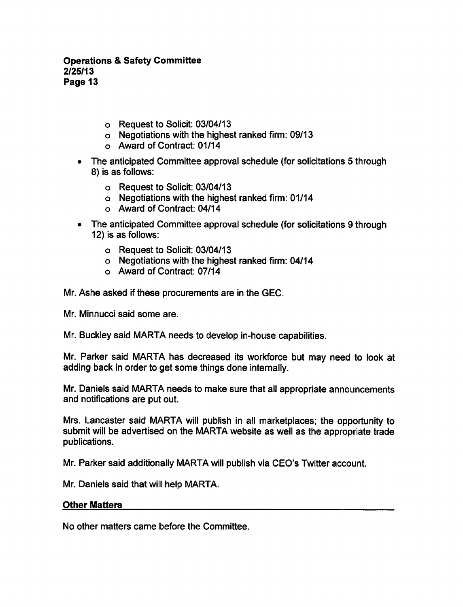#### **Operations & Safety Committee** 2/25/13 Page 13

- Request to Solicit: 03/04/13
- Negotiations with the highest ranked firm: 09/13
- Award of Contract: 01/14
- The anticipated Committee approval schedule (for solicitations 5 through 8) is as follows:
	- Request to Solicit: 03/04/13
	- Negotiations with the highest ranked firm: 01/14
	- Award of Contract: 04/14
- The anticipated Committee approval schedule (for solicitations 9 through 12) is as follows:
	- Request to Solicit: 03/04/13
	- Negotiations with the highest ranked firm: 04/14
	- Award of Contract: 07/14

Mr. Ashe asked if these procurements are in the GEC.

Mr. Minnucci said some are.

Mr. Buckley said MARTA needs to develop in-house capabilities.

Mr. Parker said MARTA has decreased its workforce but may need to look at adding back in order to get some things done internally.

Mr. Daniels said MARTA needs to make sure that all appropriate announcements and notifications are put out.

Mrs. Lancaster said MARTA will publish in all marketplaces; the opportunity to submit will be advertised on the MARTA website as well as the appropriate trade publications.

Mr. Parker said additionally MARTA will publish via CEO's Twitter account.

Mr. Daniels said that will help MARTA.

#### Other Matters

No other matters came before the Committee.